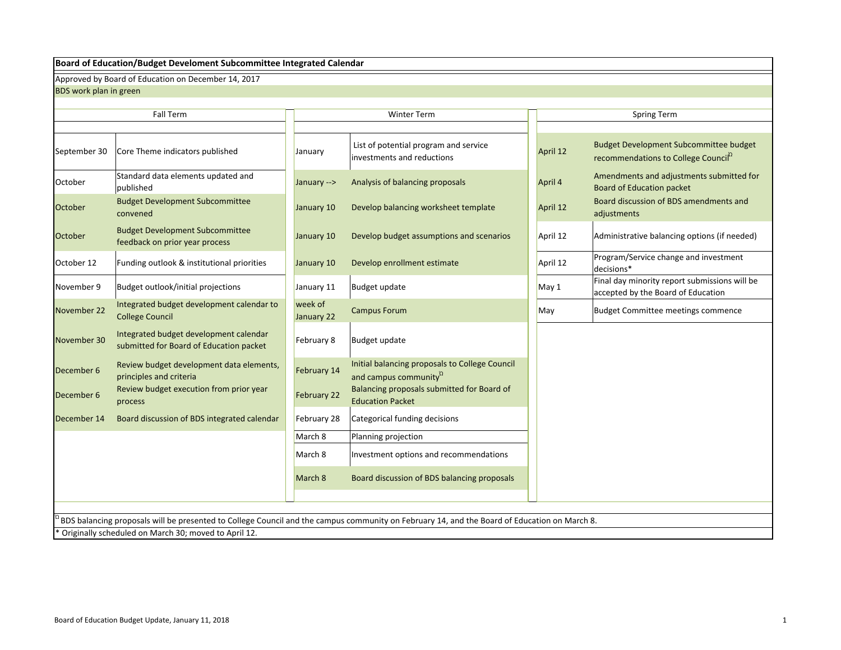### **Board of Education/Budget Develoment Subcommittee Integrated Calendar**

Approved by Board of Education on December 14, 2017

BDS work plan in green

|                | <b>Fall Term</b>                                                                  |                       | <b>Winter Term</b>                                                                                                                           |          | <b>Spring Term</b>                                                                                |
|----------------|-----------------------------------------------------------------------------------|-----------------------|----------------------------------------------------------------------------------------------------------------------------------------------|----------|---------------------------------------------------------------------------------------------------|
|                |                                                                                   |                       |                                                                                                                                              |          |                                                                                                   |
| September 30   | Core Theme indicators published                                                   | January               | List of potential program and service<br>investments and reductions                                                                          | April 12 | <b>Budget Development Subcommittee budget</b><br>recommendations to College Council <sup>12</sup> |
| October        | Standard data elements updated and<br>published                                   | January -->           | Analysis of balancing proposals                                                                                                              | April 4  | Amendments and adjustments submitted for<br><b>Board of Education packet</b>                      |
| October        | <b>Budget Development Subcommittee</b><br>convened                                | January 10            | Develop balancing worksheet template                                                                                                         | April 12 | Board discussion of BDS amendments and<br>adjustments                                             |
| <b>October</b> | <b>Budget Development Subcommittee</b><br>feedback on prior year process          | January 10            | Develop budget assumptions and scenarios                                                                                                     | April 12 | Administrative balancing options (if needed)                                                      |
| October 12     | Funding outlook & institutional priorities                                        | January 10            | Develop enrollment estimate                                                                                                                  | April 12 | Program/Service change and investment<br>decisions*                                               |
| November 9     | Budget outlook/initial projections                                                | January 11            | Budget update                                                                                                                                | May 1    | Final day minority report submissions will be<br>accepted by the Board of Education               |
| November 22    | Integrated budget development calendar to<br><b>College Council</b>               | week of<br>January 22 | <b>Campus Forum</b>                                                                                                                          | May      | <b>Budget Committee meetings commence</b>                                                         |
| November 30    | Integrated budget development calendar<br>submitted for Board of Education packet | February 8            | Budget update                                                                                                                                |          |                                                                                                   |
| December 6     | Review budget development data elements,<br>principles and criteria               | February 14           | Initial balancing proposals to College Council<br>and campus community <sup>2</sup>                                                          |          |                                                                                                   |
| December 6     | Review budget execution from prior year<br>process                                | February 22           | Balancing proposals submitted for Board of<br><b>Education Packet</b>                                                                        |          |                                                                                                   |
| December 14    | Board discussion of BDS integrated calendar                                       | February 28           | Categorical funding decisions                                                                                                                |          |                                                                                                   |
|                |                                                                                   | March 8               | Planning projection                                                                                                                          |          |                                                                                                   |
|                |                                                                                   | March 8               | Investment options and recommendations                                                                                                       |          |                                                                                                   |
|                |                                                                                   | March 8               | Board discussion of BDS balancing proposals                                                                                                  |          |                                                                                                   |
|                |                                                                                   |                       |                                                                                                                                              |          |                                                                                                   |
|                |                                                                                   |                       | BDS balancing proposals will be presented to College Council and the campus community on February 14, and the Board of Education on March 8. |          |                                                                                                   |
|                | Originally scheduled on March 30; moved to April 12.                              |                       |                                                                                                                                              |          |                                                                                                   |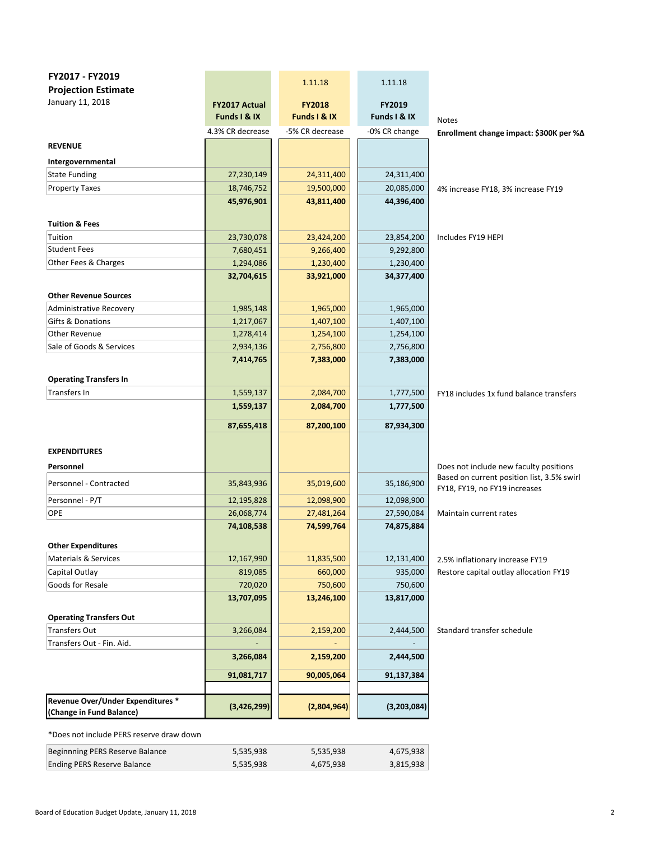| FY2017 - FY2019                                              |                        |                        |                        |                                                                                      |
|--------------------------------------------------------------|------------------------|------------------------|------------------------|--------------------------------------------------------------------------------------|
| <b>Projection Estimate</b>                                   |                        | 1.11.18                | 1.11.18                |                                                                                      |
| January 11, 2018                                             | <b>FY2017 Actual</b>   | <b>FY2018</b>          | FY2019                 |                                                                                      |
|                                                              | Funds I & IX           | Funds I & IX           | Funds I & IX           | <b>Notes</b>                                                                         |
|                                                              | 4.3% CR decrease       | -5% CR decrease        | -0% CR change          | Enrollment change impact: \$300K per %∆                                              |
| <b>REVENUE</b>                                               |                        |                        |                        |                                                                                      |
| Intergovernmental                                            |                        |                        |                        |                                                                                      |
| <b>State Funding</b>                                         | 27,230,149             | 24,311,400             | 24,311,400             |                                                                                      |
| <b>Property Taxes</b>                                        | 18,746,752             | 19,500,000             | 20,085,000             | 4% increase FY18, 3% increase FY19                                                   |
|                                                              | 45,976,901             | 43,811,400             | 44,396,400             |                                                                                      |
|                                                              |                        |                        |                        |                                                                                      |
| <b>Tuition &amp; Fees</b>                                    |                        |                        |                        |                                                                                      |
| Tuition                                                      | 23,730,078             | 23,424,200             | 23,854,200             | Includes FY19 HEPI                                                                   |
| <b>Student Fees</b>                                          | 7,680,451              | 9,266,400              | 9,292,800              |                                                                                      |
| Other Fees & Charges                                         | 1,294,086              | 1,230,400              | 1,230,400              |                                                                                      |
|                                                              | 32,704,615             | 33,921,000             | 34,377,400             |                                                                                      |
|                                                              |                        |                        |                        |                                                                                      |
| <b>Other Revenue Sources</b>                                 |                        |                        |                        |                                                                                      |
| Administrative Recovery<br>Gifts & Donations                 | 1,985,148<br>1,217,067 | 1,965,000<br>1,407,100 | 1,965,000<br>1,407,100 |                                                                                      |
| Other Revenue                                                | 1,278,414              | 1,254,100              |                        |                                                                                      |
| Sale of Goods & Services                                     | 2,934,136              | 2,756,800              | 1,254,100              |                                                                                      |
|                                                              | 7,414,765              | 7,383,000              | 2,756,800<br>7,383,000 |                                                                                      |
|                                                              |                        |                        |                        |                                                                                      |
| <b>Operating Transfers In</b>                                |                        |                        |                        |                                                                                      |
| Transfers In                                                 | 1,559,137              | 2,084,700              | 1,777,500              | FY18 includes 1x fund balance transfers                                              |
|                                                              | 1,559,137              | 2,084,700              | 1,777,500              |                                                                                      |
|                                                              | 87,655,418             | 87,200,100             | 87,934,300             |                                                                                      |
|                                                              |                        |                        |                        |                                                                                      |
| <b>EXPENDITURES</b>                                          |                        |                        |                        |                                                                                      |
|                                                              |                        |                        |                        |                                                                                      |
| Personnel                                                    |                        |                        |                        | Does not include new faculty positions<br>Based on current position list, 3.5% swirl |
| Personnel - Contracted                                       | 35,843,936             | 35,019,600             | 35,186,900             | FY18, FY19, no FY19 increases                                                        |
| Personnel - P/T                                              | 12,195,828             | 12,098,900             | 12,098,900             |                                                                                      |
| OPE                                                          | 26,068,774             | 27,481,264             | 27,590,084             | Maintain current rates                                                               |
|                                                              | 74,108,538             | 74,599,764             | 74,875,884             |                                                                                      |
|                                                              |                        |                        |                        |                                                                                      |
| <b>Other Expenditures</b><br><b>Materials &amp; Services</b> |                        |                        |                        |                                                                                      |
| Capital Outlay                                               | 12,167,990<br>819,085  | 11,835,500<br>660,000  | 12,131,400<br>935,000  | 2.5% inflationary increase FY19<br>Restore capital outlay allocation FY19            |
| Goods for Resale                                             | 720,020                | 750,600                | 750,600                |                                                                                      |
|                                                              | 13,707,095             | 13,246,100             | 13,817,000             |                                                                                      |
|                                                              |                        |                        |                        |                                                                                      |
| <b>Operating Transfers Out</b>                               |                        |                        |                        |                                                                                      |
| Transfers Out                                                | 3,266,084              | 2,159,200              | 2,444,500              | Standard transfer schedule                                                           |
| Transfers Out - Fin. Aid.                                    |                        |                        |                        |                                                                                      |
|                                                              | 3,266,084              | 2,159,200              | 2,444,500              |                                                                                      |
|                                                              | 91,081,717             | 90,005,064             | 91,137,384             |                                                                                      |
|                                                              |                        |                        |                        |                                                                                      |
| Revenue Over/Under Expenditures *                            |                        |                        |                        |                                                                                      |
| (Change in Fund Balance)                                     | (3,426,299)            | (2,804,964)            | (3,203,084)            |                                                                                      |
|                                                              |                        |                        |                        |                                                                                      |

\*Does not include PERS reserve draw down

| Beginnning PERS Reserve Balance | 5.535.938 | 5,535,938 | 4,675,938 |
|---------------------------------|-----------|-----------|-----------|
| Ending PERS Reserve Balance     | 5,535,938 | 4,675,938 | 3,815,938 |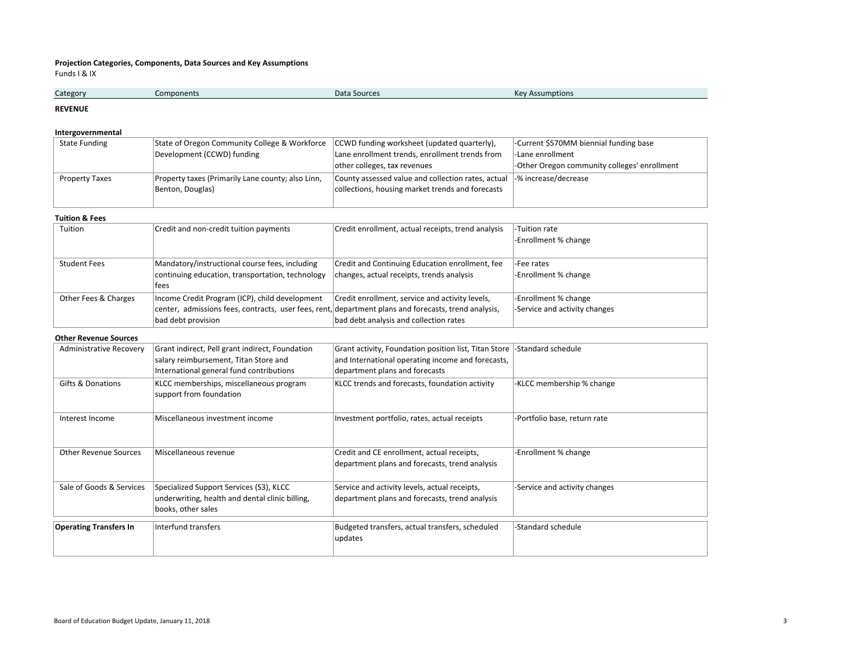## **Projection Categories, Components, Data Sources and Key Assumptions**

Funds I & IX

| Category | Components | Data Sources | $V_{011}$<br>ssumptions<br>n. |
|----------|------------|--------------|-------------------------------|
|          |            |              |                               |

#### **REVENUE**

## **Intergovernmental**

| State Funding         | State of Oregon Community College & Workforce CCWD funding worksheet (updated quarterly), |                                                    | -Current \$570MM biennial funding base       |
|-----------------------|-------------------------------------------------------------------------------------------|----------------------------------------------------|----------------------------------------------|
|                       | Development (CCWD) funding                                                                | Lane enrollment trends, enrollment trends from     | l-Lane enrollment                            |
|                       |                                                                                           | other colleges, tax revenues                       | -Other Oregon community colleges' enrollment |
| <b>Property Taxes</b> | Property taxes (Primarily Lane county; also Linn,                                         | County assessed value and collection rates, actual | -% increase/decrease                         |
|                       | Benton, Douglas)                                                                          | collections, housing market trends and forecasts   |                                              |
|                       |                                                                                           |                                                    |                                              |

#### **Tuition & Fees**

| Tuition              | Credit and non-credit tuition payments                                                               | Credit enrollment, actual receipts, trend analysis | -Tuition rate                 |
|----------------------|------------------------------------------------------------------------------------------------------|----------------------------------------------------|-------------------------------|
|                      |                                                                                                      |                                                    | -Enrollment % change          |
|                      |                                                                                                      |                                                    |                               |
| <b>Student Fees</b>  | Mandatory/instructional course fees, including                                                       | Credit and Continuing Education enrollment, fee    | l-Fee rates                   |
|                      | continuing education, transportation, technology                                                     | changes, actual receipts, trends analysis          | -Enrollment % change          |
|                      | lfees                                                                                                |                                                    |                               |
| Other Fees & Charges | Income Credit Program (ICP), child development                                                       | Credit enrollment, service and activity levels,    | -Enrollment % change          |
|                      | center, admissions fees, contracts, user fees, rent, department plans and forecasts, trend analysis, |                                                    | -Service and activity changes |
|                      | bad debt provision                                                                                   | bad debt analysis and collection rates             |                               |

#### **Other Revenue Sources**

| <b>Administrative Recovery</b> | Grant indirect, Pell grant indirect, Foundation<br>salary reimbursement, Titan Store and<br>International general fund contributions | Grant activity, Foundation position list, Titan Store<br>and International operating income and forecasts,<br>department plans and forecasts | -Standard schedule            |
|--------------------------------|--------------------------------------------------------------------------------------------------------------------------------------|----------------------------------------------------------------------------------------------------------------------------------------------|-------------------------------|
| <b>Gifts &amp; Donations</b>   | KLCC memberships, miscellaneous program<br>support from foundation                                                                   | KLCC trends and forecasts, foundation activity                                                                                               | -KLCC membership % change     |
| Interest Income                | Miscellaneous investment income                                                                                                      | Investment portfolio, rates, actual receipts                                                                                                 | -Portfolio base, return rate  |
| <b>Other Revenue Sources</b>   | Miscellaneous revenue                                                                                                                | Credit and CE enrollment, actual receipts,<br>department plans and forecasts, trend analysis                                                 | -Enrollment % change          |
| Sale of Goods & Services       | Specialized Support Services (S3), KLCC<br>underwriting, health and dental clinic billing,<br>books, other sales                     | Service and activity levels, actual receipts,<br>department plans and forecasts, trend analysis                                              | -Service and activity changes |
| <b>Operating Transfers In</b>  | Interfund transfers                                                                                                                  | Budgeted transfers, actual transfers, scheduled<br>updates                                                                                   | -Standard schedule            |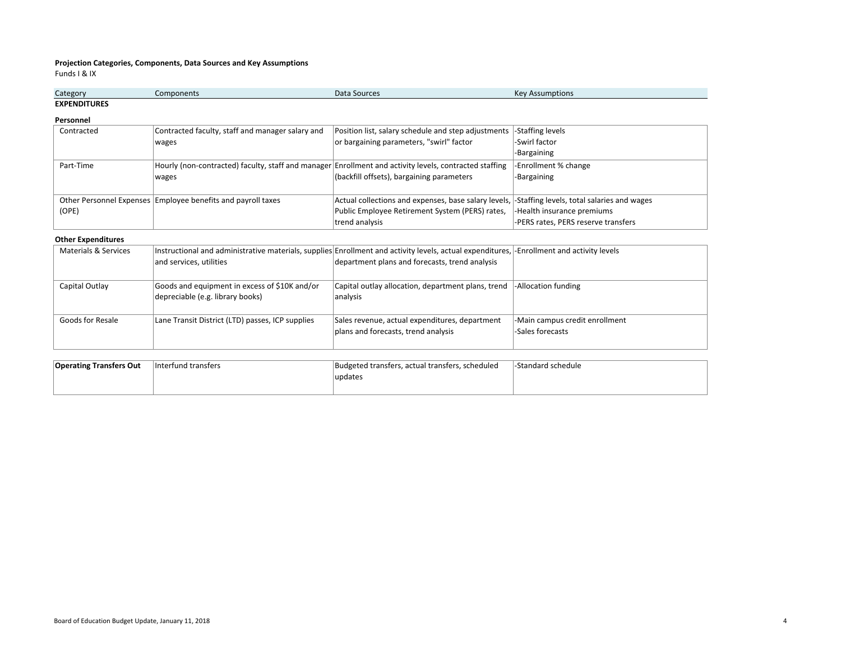## **Projection Categories, Components, Data Sources and Key Assumptions**

Funds I & IX

| Category                      | <b>JNPNT</b> | Data<br>Sources | Kev<br>ssumptions |
|-------------------------------|--------------|-----------------|-------------------|
| <b>EXPENDITURES</b><br>______ |              |                 |                   |

**Personnel**

| Contracted | Contracted faculty, staff and manager salary and                                                       | Position list, salary schedule and step adjustments  | -Staffing levels                           |
|------------|--------------------------------------------------------------------------------------------------------|------------------------------------------------------|--------------------------------------------|
|            | wages                                                                                                  | or bargaining parameters, "swirl" factor             | -Swirl factor                              |
|            |                                                                                                        |                                                      | -Bargaining                                |
| Part-Time  | Hourly (non-contracted) faculty, staff and manager Enrollment and activity levels, contracted staffing |                                                      | -Enrollment % change                       |
|            | wages                                                                                                  | (backfill offsets), bargaining parameters            | -Bargaining                                |
|            |                                                                                                        |                                                      |                                            |
|            | Other Personnel Expenses Employee benefits and payroll taxes                                           | Actual collections and expenses, base salary levels, | -Staffing levels, total salaries and wages |
| (OPE)      |                                                                                                        | Public Employee Retirement System (PERS) rates,      | -Health insurance premiums                 |
|            |                                                                                                        | trend analysis                                       | -PERS rates, PERS reserve transfers        |

### **Other Expenditures**

| Materials & Services |                                                  | Instructional and administrative materials, supplies Enrollment and activity levels, actual expenditures, -Enrollment and activity levels |                                |
|----------------------|--------------------------------------------------|-------------------------------------------------------------------------------------------------------------------------------------------|--------------------------------|
|                      | and services, utilities                          | department plans and forecasts, trend analysis                                                                                            |                                |
|                      |                                                  |                                                                                                                                           |                                |
| Capital Outlay       | Goods and equipment in excess of \$10K and/or    | Capital outlay allocation, department plans, trend                                                                                        | -Allocation funding            |
|                      | depreciable (e.g. library books)                 | analysis                                                                                                                                  |                                |
|                      |                                                  |                                                                                                                                           |                                |
| Goods for Resale     | Lane Transit District (LTD) passes, ICP supplies | Sales revenue, actual expenditures, department                                                                                            | -Main campus credit enrollment |
|                      |                                                  | plans and forecasts, trend analysis                                                                                                       | -Sales forecasts               |
|                      |                                                  |                                                                                                                                           |                                |

| <b>Operating Transfers Out</b> | linterfund transfers | Budgeted transfers, actual transfers, scheduled | -Standard schedule |
|--------------------------------|----------------------|-------------------------------------------------|--------------------|
|                                |                      | <i>lupdates</i>                                 |                    |
|                                |                      |                                                 |                    |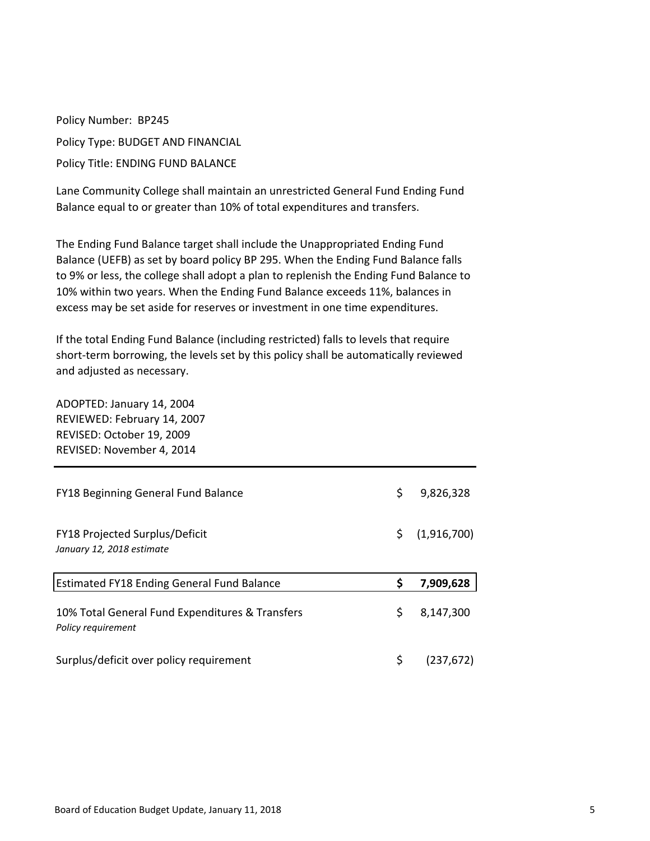Policy Number: BP245 Policy Type: BUDGET AND FINANCIAL Policy Title: ENDING FUND BALANCE

Lane Community College shall maintain an unrestricted General Fund Ending Fund Balance equal to or greater than 10% of total expenditures and transfers.

The Ending Fund Balance target shall include the Unappropriated Ending Fund Balance (UEFB) as set by board policy BP 295. When the Ending Fund Balance falls to 9% or less, the college shall adopt a plan to replenish the Ending Fund Balance to 10% within two years. When the Ending Fund Balance exceeds 11%, balances in excess may be set aside for reserves or investment in one time expenditures.

If the total Ending Fund Balance (including restricted) falls to levels that require short-term borrowing, the levels set by this policy shall be automatically reviewed and adjusted as necessary.

ADOPTED: January 14, 2004 REVIEWED: February 14, 2007 REVISED: October 19, 2009 REVISED: November 4, 2014

| <b>FY18 Beginning General Fund Balance</b>                            | \$  | 9,826,328   |
|-----------------------------------------------------------------------|-----|-------------|
| FY18 Projected Surplus/Deficit<br>January 12, 2018 estimate           | \$. | (1,916,700) |
|                                                                       |     |             |
| <b>Estimated FY18 Ending General Fund Balance</b>                     | S   | 7,909,628   |
| 10% Total General Fund Expenditures & Transfers<br>Policy requirement | \$  | 8,147,300   |